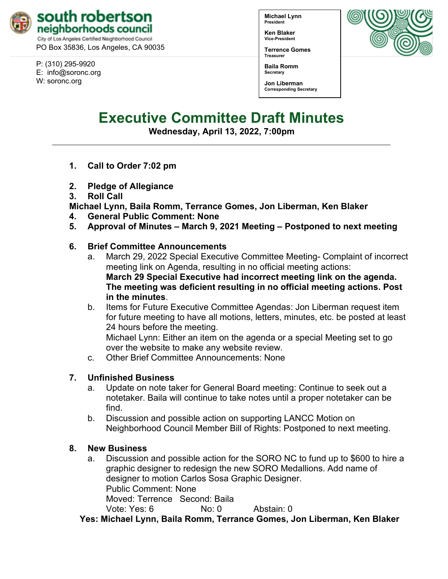

PO Box 35836, Los Angeles, CA 90035

P: (310) 295-9920 E: [info@soronc.org](mailto:info@soronc.org) W: soronc.org

**Michael Lynn President**

**Ken Blaker Vice-President**

**Terrence Gomes Treasurer**



**Baila Romm Secretary**

**Jon Liberman Corresponding Secretary**

# **Executive Committee Draft Minutes**

**Wednesday, April 13, 2022, 7:00pm**

- **1. Call to Order 7:02 pm**
- **2. Pledge of Allegiance**
- **3. Roll Call**

**Michael Lynn, Baila Romm, Terrance Gomes, Jon Liberman, Ken Blaker**

- **4. General Public Comment: None**
- **5. Approval of Minutes – March 9, 2021 Meeting – Postponed to next meeting**

## **6. Brief Committee Announcements**

- a. March 29, 2022 Special Executive Committee Meeting- Complaint of incorrect meeting link on Agenda, resulting in no official meeting actions: **March 29 Special Executive had incorrect meeting link on the agenda. The meeting was deficient resulting in no official meeting actions. Post in the minutes**.
- b. Items for Future Executive Committee Agendas: Jon Liberman request item for future meeting to have all motions, letters, minutes, etc. be posted at least 24 hours before the meeting.

Michael Lynn: Either an item on the agenda or a special Meeting set to go over the website to make any website review.

c. Other Brief Committee Announcements: None

### **7. Unfinished Business**

- a. Update on note taker for General Board meeting: Continue to seek out a notetaker. Baila will continue to take notes until a proper notetaker can be find.
- b. Discussion and possible action on supporting LANCC Motion on Neighborhood Council Member Bill of Rights: Postponed to next meeting.

## **8. New Business**

a. Discussion and possible action for the SORO NC to fund up to \$600 to hire a graphic designer to redesign the new SORO Medallions. Add name of designer to motion Carlos Sosa Graphic Designer. Public Comment: None Moved: Terrence Second: Baila Vote: Yes: 6 No: 0 Abstain: 0

**Yes: Michael Lynn, Baila Romm, Terrance Gomes, Jon Liberman, Ken Blaker**